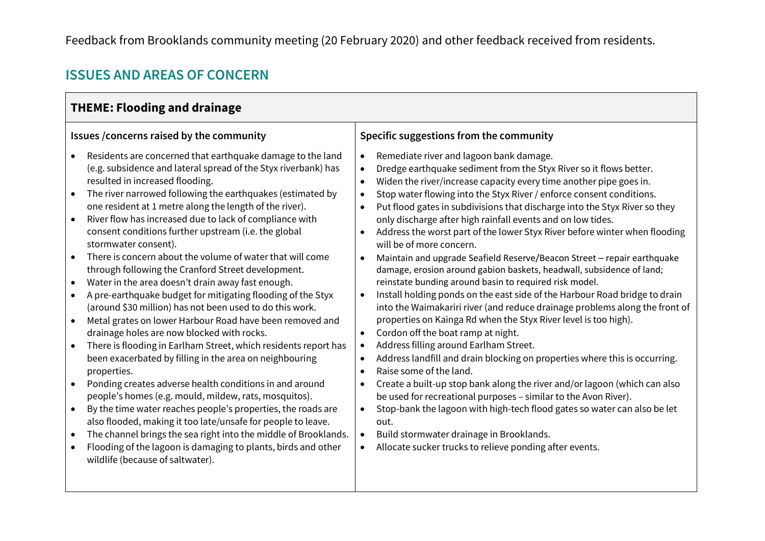## **ISSUES AND AREAS OF CONCERN**

| Specific suggestions from the community                                                                                                                                                                                                                                                                                                                                                                                                                                                                                                                                                                                                                                                                                                                                                                                                                                                                                                                                                                                                                                                                                                                                                                                                                                                                                                                                                                                                                                                             |
|-----------------------------------------------------------------------------------------------------------------------------------------------------------------------------------------------------------------------------------------------------------------------------------------------------------------------------------------------------------------------------------------------------------------------------------------------------------------------------------------------------------------------------------------------------------------------------------------------------------------------------------------------------------------------------------------------------------------------------------------------------------------------------------------------------------------------------------------------------------------------------------------------------------------------------------------------------------------------------------------------------------------------------------------------------------------------------------------------------------------------------------------------------------------------------------------------------------------------------------------------------------------------------------------------------------------------------------------------------------------------------------------------------------------------------------------------------------------------------------------------------|
| Remediate river and lagoon bank damage.<br>Dredge earthquake sediment from the Styx River so it flows better.<br>Widen the river/increase capacity every time another pipe goes in.<br>Stop water flowing into the Styx River / enforce consent conditions.<br>Put flood gates in subdivisions that discharge into the Styx River so they<br>only discharge after high rainfall events and on low tides.<br>Address the worst part of the lower Styx River before winter when flooding<br>will be of more concern.<br>Maintain and upgrade Seafield Reserve/Beacon Street - repair earthquake<br>damage, erosion around gabion baskets, headwall, subsidence of land;<br>reinstate bunding around basin to required risk model.<br>Install holding ponds on the east side of the Harbour Road bridge to drain<br>into the Waimakariri river (and reduce drainage problems along the front of<br>properties on Kainga Rd when the Styx River level is too high).<br>Cordon off the boat ramp at night.<br>Address filling around Earlham Street.<br>Address landfill and drain blocking on properties where this is occurring.<br>Raise some of the land.<br>Create a built-up stop bank along the river and/or lagoon (which can also<br>be used for recreational purposes - similar to the Avon River).<br>Stop-bank the lagoon with high-tech flood gates so water can also be let<br>out.<br>Build stormwater drainage in Brooklands.<br>Allocate sucker trucks to relieve ponding after events. |
|                                                                                                                                                                                                                                                                                                                                                                                                                                                                                                                                                                                                                                                                                                                                                                                                                                                                                                                                                                                                                                                                                                                                                                                                                                                                                                                                                                                                                                                                                                     |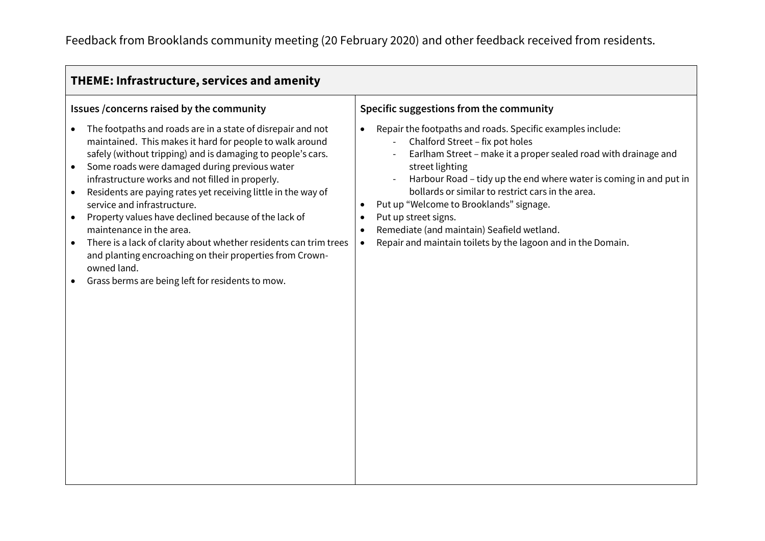| THEME: Infrastructure, services and amenity                                                                                                                                                                                                                                                                                                                                                                                                                                                                                                                                                                                                                                                                                             |                                                                                                                                                                                                                                                                                                                                                                                                                                                                                                                           |  |
|-----------------------------------------------------------------------------------------------------------------------------------------------------------------------------------------------------------------------------------------------------------------------------------------------------------------------------------------------------------------------------------------------------------------------------------------------------------------------------------------------------------------------------------------------------------------------------------------------------------------------------------------------------------------------------------------------------------------------------------------|---------------------------------------------------------------------------------------------------------------------------------------------------------------------------------------------------------------------------------------------------------------------------------------------------------------------------------------------------------------------------------------------------------------------------------------------------------------------------------------------------------------------------|--|
| Issues / concerns raised by the community                                                                                                                                                                                                                                                                                                                                                                                                                                                                                                                                                                                                                                                                                               | Specific suggestions from the community                                                                                                                                                                                                                                                                                                                                                                                                                                                                                   |  |
| The footpaths and roads are in a state of disrepair and not<br>$\bullet$<br>maintained. This makes it hard for people to walk around<br>safely (without tripping) and is damaging to people's cars.<br>Some roads were damaged during previous water<br>$\bullet$<br>infrastructure works and not filled in properly.<br>Residents are paying rates yet receiving little in the way of<br>$\bullet$<br>service and infrastructure.<br>Property values have declined because of the lack of<br>$\bullet$<br>maintenance in the area.<br>There is a lack of clarity about whether residents can trim trees<br>and planting encroaching on their properties from Crown-<br>owned land.<br>Grass berms are being left for residents to mow. | Repair the footpaths and roads. Specific examples include:<br>$\bullet$<br>Chalford Street - fix pot holes<br>Earlham Street - make it a proper sealed road with drainage and<br>street lighting<br>Harbour Road - tidy up the end where water is coming in and put in<br>bollards or similar to restrict cars in the area.<br>Put up "Welcome to Brooklands" signage.<br>Put up street signs.<br>Remediate (and maintain) Seafield wetland.<br>$\bullet$<br>Repair and maintain toilets by the lagoon and in the Domain. |  |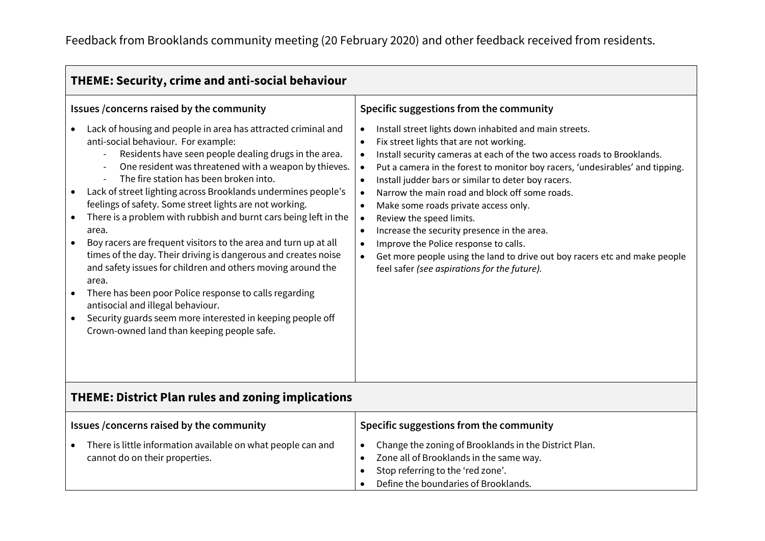| THEME: Security, crime and anti-social behaviour                                                                                                                                                                                                                                                                                                                                                                                                                                                                                                                                                                                                                                                                                                                                                                                                                                                                            |                                                                                                                                                                                                                                                                                                                                                                                                                                                                                                                                                                                                                                                                                                                                                                          |  |
|-----------------------------------------------------------------------------------------------------------------------------------------------------------------------------------------------------------------------------------------------------------------------------------------------------------------------------------------------------------------------------------------------------------------------------------------------------------------------------------------------------------------------------------------------------------------------------------------------------------------------------------------------------------------------------------------------------------------------------------------------------------------------------------------------------------------------------------------------------------------------------------------------------------------------------|--------------------------------------------------------------------------------------------------------------------------------------------------------------------------------------------------------------------------------------------------------------------------------------------------------------------------------------------------------------------------------------------------------------------------------------------------------------------------------------------------------------------------------------------------------------------------------------------------------------------------------------------------------------------------------------------------------------------------------------------------------------------------|--|
| Issues / concerns raised by the community                                                                                                                                                                                                                                                                                                                                                                                                                                                                                                                                                                                                                                                                                                                                                                                                                                                                                   | Specific suggestions from the community                                                                                                                                                                                                                                                                                                                                                                                                                                                                                                                                                                                                                                                                                                                                  |  |
| Lack of housing and people in area has attracted criminal and<br>anti-social behaviour. For example:<br>Residents have seen people dealing drugs in the area.<br>One resident was threatened with a weapon by thieves.<br>The fire station has been broken into.<br>Lack of street lighting across Brooklands undermines people's<br>feelings of safety. Some street lights are not working.<br>There is a problem with rubbish and burnt cars being left in the<br>area.<br>Boy racers are frequent visitors to the area and turn up at all<br>$\bullet$<br>times of the day. Their driving is dangerous and creates noise<br>and safety issues for children and others moving around the<br>area.<br>There has been poor Police response to calls regarding<br>antisocial and illegal behaviour.<br>Security guards seem more interested in keeping people off<br>$\bullet$<br>Crown-owned land than keeping people safe. | Install street lights down inhabited and main streets.<br>$\bullet$<br>Fix street lights that are not working.<br>$\bullet$<br>Install security cameras at each of the two access roads to Brooklands.<br>$\bullet$<br>Put a camera in the forest to monitor boy racers, 'undesirables' and tipping.<br>Install judder bars or similar to deter boy racers.<br>$\bullet$<br>Narrow the main road and block off some roads.<br>Make some roads private access only.<br>$\bullet$<br>Review the speed limits.<br>Increase the security presence in the area.<br>$\bullet$<br>Improve the Police response to calls.<br>$\bullet$<br>Get more people using the land to drive out boy racers etc and make people<br>$\bullet$<br>feel safer (see aspirations for the future). |  |
| <b>THEME: District Plan rules and zoning implications</b>                                                                                                                                                                                                                                                                                                                                                                                                                                                                                                                                                                                                                                                                                                                                                                                                                                                                   |                                                                                                                                                                                                                                                                                                                                                                                                                                                                                                                                                                                                                                                                                                                                                                          |  |
| Issues / concerns raised by the community                                                                                                                                                                                                                                                                                                                                                                                                                                                                                                                                                                                                                                                                                                                                                                                                                                                                                   | Specific suggestions from the community                                                                                                                                                                                                                                                                                                                                                                                                                                                                                                                                                                                                                                                                                                                                  |  |
| There is little information available on what people can and<br>cannot do on their properties.                                                                                                                                                                                                                                                                                                                                                                                                                                                                                                                                                                                                                                                                                                                                                                                                                              | Change the zoning of Brooklands in the District Plan.<br>Zone all of Brooklands in the same way.<br>$\bullet$<br>Stop referring to the 'red zone'.<br>Define the boundaries of Brooklands.                                                                                                                                                                                                                                                                                                                                                                                                                                                                                                                                                                               |  |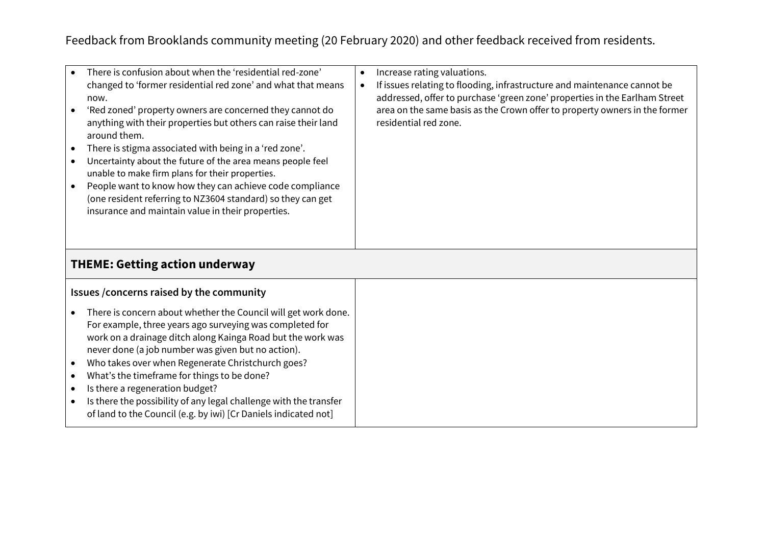| There is confusion about when the 'residential red-zone'<br>changed to 'former residential red zone' and what that means<br>now.<br>'Red zoned' property owners are concerned they cannot do<br>anything with their properties but others can raise their land<br>around them.<br>There is stigma associated with being in a 'red zone'.<br>$\bullet$<br>Uncertainty about the future of the area means people feel<br>unable to make firm plans for their properties.<br>People want to know how they can achieve code compliance<br>$\bullet$<br>(one resident referring to NZ3604 standard) so they can get<br>insurance and maintain value in their properties. | Increase rating valuations.<br>If issues relating to flooding, infrastructure and maintenance cannot be<br>addressed, offer to purchase 'green zone' properties in the Earlham Street<br>area on the same basis as the Crown offer to property owners in the former<br>residential red zone. |
|---------------------------------------------------------------------------------------------------------------------------------------------------------------------------------------------------------------------------------------------------------------------------------------------------------------------------------------------------------------------------------------------------------------------------------------------------------------------------------------------------------------------------------------------------------------------------------------------------------------------------------------------------------------------|----------------------------------------------------------------------------------------------------------------------------------------------------------------------------------------------------------------------------------------------------------------------------------------------|
| <b>THEME: Getting action underway</b>                                                                                                                                                                                                                                                                                                                                                                                                                                                                                                                                                                                                                               |                                                                                                                                                                                                                                                                                              |
| Issues / concerns raised by the community                                                                                                                                                                                                                                                                                                                                                                                                                                                                                                                                                                                                                           |                                                                                                                                                                                                                                                                                              |
| There is concern about whether the Council will get work done.<br>For example, three years ago surveying was completed for<br>work on a drainage ditch along Kainga Road but the work was<br>never done (a job number was given but no action).<br>Who takes over when Regenerate Christchurch goes?<br>$\bullet$<br>What's the timeframe for things to be done?<br>$\bullet$<br>Is there a regeneration budget?<br>$\bullet$<br>Is there the possibility of any legal challenge with the transfer<br>$\bullet$<br>of land to the Council (e.g. by iwi) [Cr Daniels indicated not]                                                                                  |                                                                                                                                                                                                                                                                                              |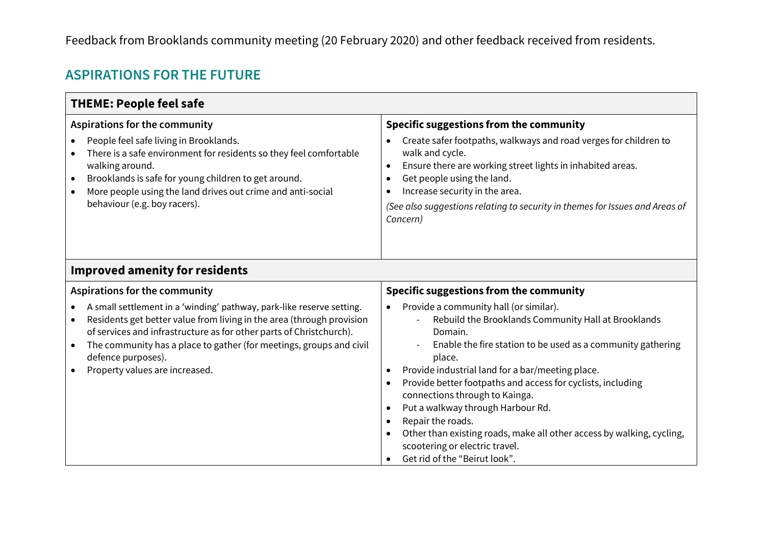## **ASPIRATIONS FOR THE FUTURE**

| <b>THEME: People feel safe</b>                                                                                                                                                                                                                                                                                                                                                                                                      |                                                                                                                                                                                                                                                                                                                                                                      |
|-------------------------------------------------------------------------------------------------------------------------------------------------------------------------------------------------------------------------------------------------------------------------------------------------------------------------------------------------------------------------------------------------------------------------------------|----------------------------------------------------------------------------------------------------------------------------------------------------------------------------------------------------------------------------------------------------------------------------------------------------------------------------------------------------------------------|
| Aspirations for the community<br>People feel safe living in Brooklands.<br>There is a safe environment for residents so they feel comfortable<br>$\bullet$<br>walking around.<br>Brooklands is safe for young children to get around.<br>$\bullet$<br>More people using the land drives out crime and anti-social<br>$\bullet$<br>behaviour (e.g. boy racers).                                                                      | Specific suggestions from the community<br>Create safer footpaths, walkways and road verges for children to<br>walk and cycle.<br>Ensure there are working street lights in inhabited areas.<br>Get people using the land.<br>Increase security in the area.<br>(See also suggestions relating to security in themes for Issues and Areas of<br>Concern)             |
| <b>Improved amenity for residents</b><br>Aspirations for the community<br>A small settlement in a 'winding' pathway, park-like reserve setting.<br>$\bullet$<br>Residents get better value from living in the area (through provision<br>$\bullet$<br>of services and infrastructure as for other parts of Christchurch).<br>The community has a place to gather (for meetings, groups and civil<br>$\bullet$<br>defence purposes). | Specific suggestions from the community<br>Provide a community hall (or similar).<br>Rebuild the Brooklands Community Hall at Brooklands<br>$\overline{\phantom{a}}$<br>Domain.<br>Enable the fire station to be used as a community gathering<br>place.                                                                                                             |
| Property values are increased.<br>$\bullet$                                                                                                                                                                                                                                                                                                                                                                                         | Provide industrial land for a bar/meeting place.<br>Provide better footpaths and access for cyclists, including<br>connections through to Kainga.<br>Put a walkway through Harbour Rd.<br>Repair the roads.<br>$\bullet$<br>Other than existing roads, make all other access by walking, cycling,<br>scootering or electric travel.<br>Get rid of the "Beirut look". |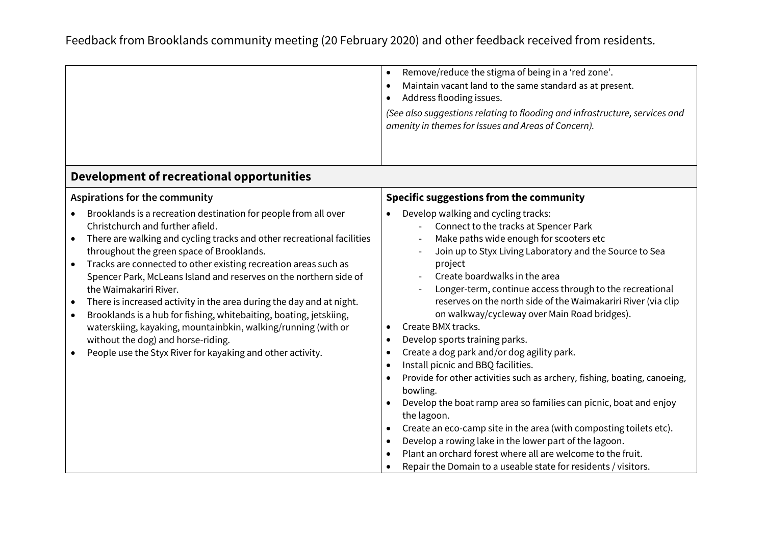|                                                                                                                                                                                                                                                                                                                                                                                                                                                                                                                                                                                                                                                                                                                                                        | Remove/reduce the stigma of being in a 'red zone'.<br>$\bullet$<br>Maintain vacant land to the same standard as at present.<br>Address flooding issues.<br>$\bullet$<br>(See also suggestions relating to flooding and infrastructure, services and<br>amenity in themes for Issues and Areas of Concern).                                                                                                                                                                                                                                                                                                                                                                                                                                                                                                                                                                                                                                                                                                                      |
|--------------------------------------------------------------------------------------------------------------------------------------------------------------------------------------------------------------------------------------------------------------------------------------------------------------------------------------------------------------------------------------------------------------------------------------------------------------------------------------------------------------------------------------------------------------------------------------------------------------------------------------------------------------------------------------------------------------------------------------------------------|---------------------------------------------------------------------------------------------------------------------------------------------------------------------------------------------------------------------------------------------------------------------------------------------------------------------------------------------------------------------------------------------------------------------------------------------------------------------------------------------------------------------------------------------------------------------------------------------------------------------------------------------------------------------------------------------------------------------------------------------------------------------------------------------------------------------------------------------------------------------------------------------------------------------------------------------------------------------------------------------------------------------------------|
| <b>Development of recreational opportunities</b>                                                                                                                                                                                                                                                                                                                                                                                                                                                                                                                                                                                                                                                                                                       |                                                                                                                                                                                                                                                                                                                                                                                                                                                                                                                                                                                                                                                                                                                                                                                                                                                                                                                                                                                                                                 |
| Aspirations for the community                                                                                                                                                                                                                                                                                                                                                                                                                                                                                                                                                                                                                                                                                                                          | <b>Specific suggestions from the community</b>                                                                                                                                                                                                                                                                                                                                                                                                                                                                                                                                                                                                                                                                                                                                                                                                                                                                                                                                                                                  |
| Brooklands is a recreation destination for people from all over<br>Christchurch and further afield.<br>There are walking and cycling tracks and other recreational facilities<br>throughout the green space of Brooklands.<br>Tracks are connected to other existing recreation areas such as<br>$\bullet$<br>Spencer Park, McLeans Island and reserves on the northern side of<br>the Waimakariri River.<br>There is increased activity in the area during the day and at night.<br>$\bullet$<br>Brooklands is a hub for fishing, whitebaiting, boating, jetskiing,<br>$\bullet$<br>waterskiing, kayaking, mountainbkin, walking/running (with or<br>without the dog) and horse-riding.<br>People use the Styx River for kayaking and other activity. | Develop walking and cycling tracks:<br>Connect to the tracks at Spencer Park<br>Make paths wide enough for scooters etc<br>Join up to Styx Living Laboratory and the Source to Sea<br>project<br>Create boardwalks in the area<br>Longer-term, continue access through to the recreational<br>reserves on the north side of the Waimakariri River (via clip<br>on walkway/cycleway over Main Road bridges).<br>Create BMX tracks.<br>Develop sports training parks.<br>$\bullet$<br>Create a dog park and/or dog agility park.<br>$\bullet$<br>Install picnic and BBQ facilities.<br>Provide for other activities such as archery, fishing, boating, canoeing,<br>bowling.<br>Develop the boat ramp area so families can picnic, boat and enjoy<br>the lagoon.<br>Create an eco-camp site in the area (with composting toilets etc).<br>Develop a rowing lake in the lower part of the lagoon.<br>Plant an orchard forest where all are welcome to the fruit.<br>Repair the Domain to a useable state for residents / visitors. |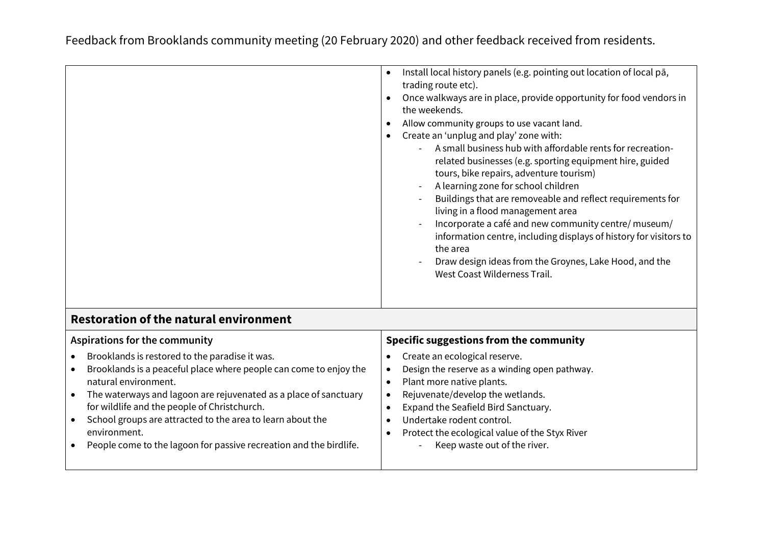|                                                                                                                                                                                                                                                                                                                                                                                                                                               | Install local history panels (e.g. pointing out location of local pā,<br>trading route etc).<br>Once walkways are in place, provide opportunity for food vendors in<br>the weekends.<br>Allow community groups to use vacant land.<br>Create an 'unplug and play' zone with:<br>A small business hub with affordable rents for recreation-<br>related businesses (e.g. sporting equipment hire, guided<br>tours, bike repairs, adventure tourism)<br>A learning zone for school children<br>Buildings that are removeable and reflect requirements for<br>living in a flood management area<br>Incorporate a café and new community centre/ museum/<br>information centre, including displays of history for visitors to<br>the area<br>Draw design ideas from the Groynes, Lake Hood, and the<br>West Coast Wilderness Trail. |
|-----------------------------------------------------------------------------------------------------------------------------------------------------------------------------------------------------------------------------------------------------------------------------------------------------------------------------------------------------------------------------------------------------------------------------------------------|--------------------------------------------------------------------------------------------------------------------------------------------------------------------------------------------------------------------------------------------------------------------------------------------------------------------------------------------------------------------------------------------------------------------------------------------------------------------------------------------------------------------------------------------------------------------------------------------------------------------------------------------------------------------------------------------------------------------------------------------------------------------------------------------------------------------------------|
| <b>Restoration of the natural environment</b>                                                                                                                                                                                                                                                                                                                                                                                                 |                                                                                                                                                                                                                                                                                                                                                                                                                                                                                                                                                                                                                                                                                                                                                                                                                                |
| Aspirations for the community                                                                                                                                                                                                                                                                                                                                                                                                                 | <b>Specific suggestions from the community</b>                                                                                                                                                                                                                                                                                                                                                                                                                                                                                                                                                                                                                                                                                                                                                                                 |
| Brooklands is restored to the paradise it was.<br>Brooklands is a peaceful place where people can come to enjoy the<br>natural environment.<br>The waterways and lagoon are rejuvenated as a place of sanctuary<br>for wildlife and the people of Christchurch.<br>School groups are attracted to the area to learn about the<br>$\bullet$<br>environment.<br>People come to the lagoon for passive recreation and the birdlife.<br>$\bullet$ | Create an ecological reserve.<br>Design the reserve as a winding open pathway.<br>$\bullet$<br>Plant more native plants.<br>$\bullet$<br>Rejuvenate/develop the wetlands.<br>$\bullet$<br>Expand the Seafield Bird Sanctuary.<br>$\bullet$<br>Undertake rodent control.<br>$\bullet$<br>Protect the ecological value of the Styx River<br>Keep waste out of the river.                                                                                                                                                                                                                                                                                                                                                                                                                                                         |